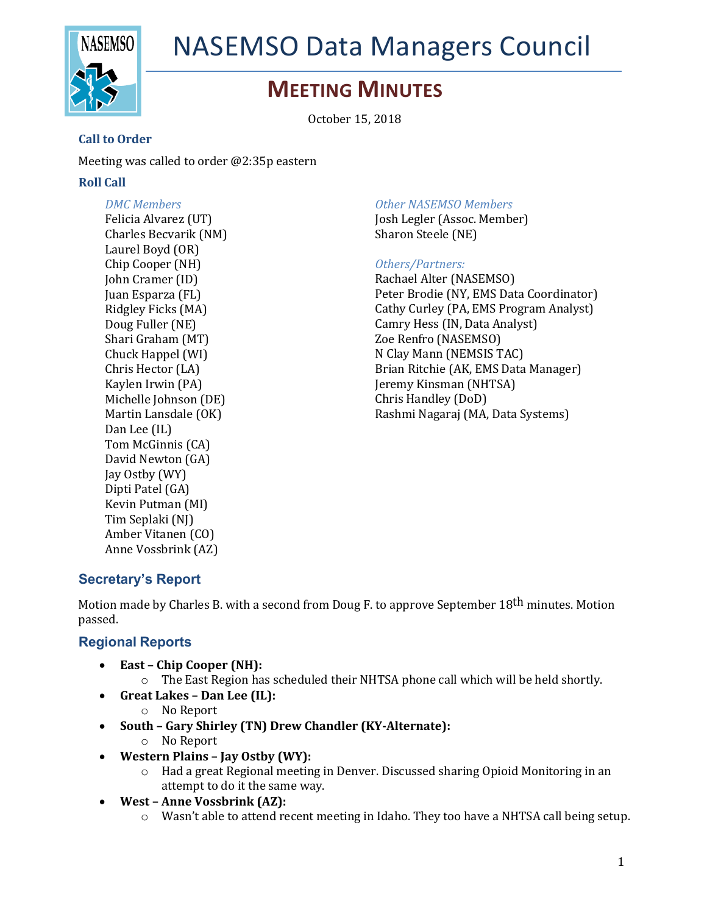

## NASEMSO Data Managers Council

### **MEETING MINUTES**

October 15, 2018

#### **Call to Order**

Meeting was called to order  $@2:35p$  eastern

#### **Roll Call**

*DMC Members* Felicia Alvarez (UT) Charles Becvarik (NM) Laurel Boyd (OR) Chip Cooper (NH) John Cramer (ID) Juan Esparza (FL) Ridgley Ficks (MA) Doug Fuller (NE) Shari Graham (MT) Chuck Happel (WI) Chris Hector (LA) Kaylen Irwin (PA) Michelle Johnson (DE) Martin Lansdale (OK) Dan Lee (IL) Tom McGinnis (CA) David Newton (GA) Jay Ostby (WY) Dipti Patel (GA) Kevin Putman (MI) Tim Seplaki (NJ) Amber Vitanen (CO) Anne Vossbrink (AZ)

#### *Other NASEMSO Members*

Josh Legler (Assoc. Member) Sharon Steele (NE)

#### *Others/Partners:*

Rachael Alter (NASEMSO) Peter Brodie (NY, EMS Data Coordinator) Cathy Curley (PA, EMS Program Analyst) Camry Hess (IN, Data Analyst) Zoe Renfro (NASEMSO) N Clay Mann (NEMSIS TAC) Brian Ritchie (AK, EMS Data Manager) Jeremy Kinsman (NHTSA) Chris Handley (DoD) Rashmi Nagaraj (MA, Data Systems)

#### **Secretary's Report**

Motion made by Charles B. with a second from Doug F. to approve September 18<sup>th</sup> minutes. Motion passed.

#### **Regional Reports**

- East Chip Cooper (NH):
	- $\circ$  The East Region has scheduled their NHTSA phone call which will be held shortly.
- **Great Lakes – Dan Lee (IL):**
	- o No Report
- South Gary Shirley (TN) Drew Chandler (KY-Alternate):
	- o No Report
- **Western Plains – Jay Ostby (WY):**
	- $\circ$  Had a great Regional meeting in Denver. Discussed sharing Opioid Monitoring in an attempt to do it the same way.
- West Anne Vossbrink (AZ):
	- $\circ$  Wasn't able to attend recent meeting in Idaho. They too have a NHTSA call being setup.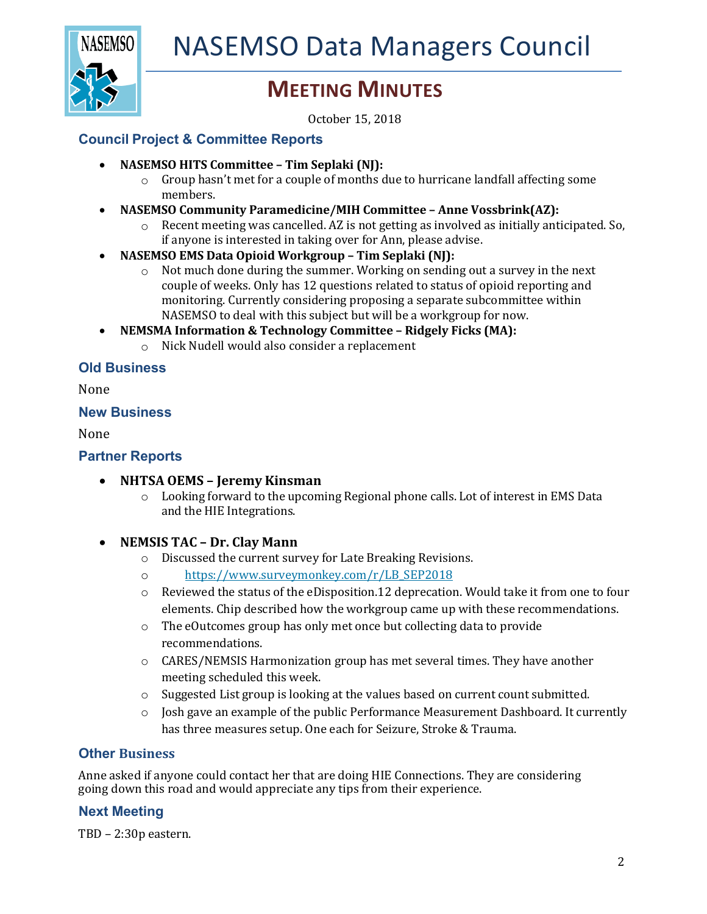

## **MEETING MINUTES**

October 15, 2018

#### **Council Project & Committee Reports**

- NASEMSO HITS Committee Tim Seplaki (NJ):
	- $\circ$  Group hasn't met for a couple of months due to hurricane landfall affecting some members.
- **NASEMSO Community Paramedicine/MIH Committee Anne Vossbrink(AZ):** 
	- $\circ$  Recent meeting was cancelled. AZ is not getting as involved as initially anticipated. So, if anyone is interested in taking over for Ann, please advise.
- NASEMSO EMS Data Opioid Workgroup Tim Seplaki (NJ):
	- $\circ$  Not much done during the summer. Working on sending out a survey in the next couple of weeks. Only has 12 questions related to status of opioid reporting and monitoring. Currently considering proposing a separate subcommittee within NASEMSO to deal with this subject but will be a workgroup for now.
- NEMSMA Information & Technology Committee Ridgely Ficks (MA):
	- $\circ$  Nick Nudell would also consider a replacement

#### **Old Business**

None

#### **New Business**

None

#### **Partner Reports**

- **NHTSA OEMS – Jeremy Kinsman**
	- $\circ$  Looking forward to the upcoming Regional phone calls. Lot of interest in EMS Data and the HIE Integrations.

#### • **NEMSIS TAC – Dr. Clay Mann**

- o Discussed the current survey for Late Breaking Revisions.
- o https://www.surveymonkey.com/r/LB\_SEP2018
- $\circ$  Reviewed the status of the eDisposition.12 deprecation. Would take it from one to four elements. Chip described how the workgroup came up with these recommendations.
- $\circ$  The eOutcomes group has only met once but collecting data to provide recommendations.
- o CARES/NEMSIS Harmonization group has met several times. They have another meeting scheduled this week.
- $\circ$  Suggested List group is looking at the values based on current count submitted.
- $\circ$  Josh gave an example of the public Performance Measurement Dashboard. It currently has three measures setup. One each for Seizure, Stroke & Trauma.

#### **Other Business**

Anne asked if anyone could contact her that are doing HIE Connections. They are considering going down this road and would appreciate any tips from their experience.

#### **Next Meeting**

TBD - 2:30p eastern.